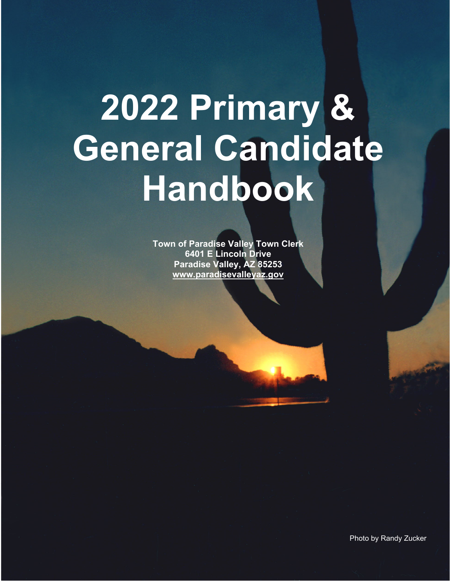# **2022 Primary & General Candidate Handbook**

**Town of Paradise Valley Town Clerk 6401 E Lincoln Drive Paradise Valley, AZ 85253 [www.paradisevalleyaz.gov](http://www.paradisevalleyaz.gov)** 

Photo by Randy Zucker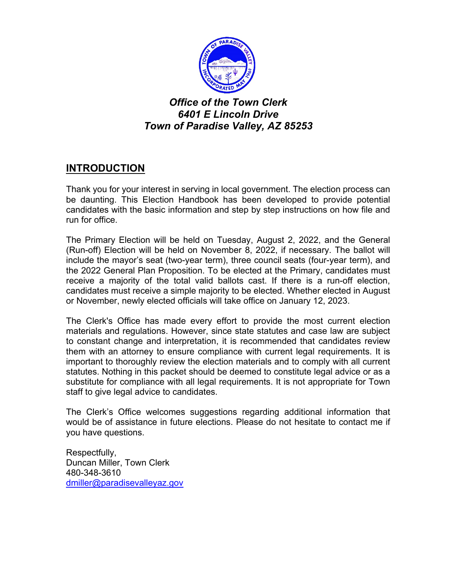

## *Office of the Town Clerk 6401 E Lincoln Drive Town of Paradise Valley, AZ 85253*

## **INTRODUCTION**

Thank you for your interest in serving in local government. The election process can be daunting. This Election Handbook has been developed to provide potential candidates with the basic information and step by step instructions on how file and run for office.

The Primary Election will be held on Tuesday, August 2, 2022, and the General (Run-off) Election will be held on November 8, 2022, if necessary. The ballot will include the mayor's seat (two-year term), three council seats (four-year term), and the 2022 General Plan Proposition. To be elected at the Primary, candidates must receive a majority of the total valid ballots cast. If there is a run-off election, candidates must receive a simple majority to be elected. Whether elected in August or November, newly elected officials will take office on January 12, 2023.

The Clerk's Office has made every effort to provide the most current election materials and regulations. However, since state statutes and case law are subject to constant change and interpretation, it is recommended that candidates review them with an attorney to ensure compliance with current legal requirements. It is important to thoroughly review the election materials and to comply with all current statutes. Nothing in this packet should be deemed to constitute legal advice or as a substitute for compliance with all legal requirements. It is not appropriate for Town staff to give legal advice to candidates.

The Clerk's Office welcomes suggestions regarding additional information that would be of assistance in future elections. Please do not hesitate to contact me if you have questions.

Respectfully, Duncan Miller, Town Clerk 480-348-3610 [dmiller@paradisevalleyaz.gov](mailto:dmiller@paradisevalleyaz.gov)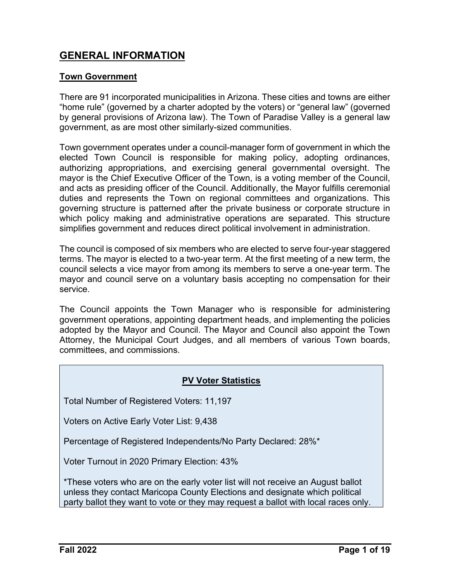## **GENERAL INFORMATION**

#### **Town Government**

There are 91 incorporated municipalities in Arizona. These cities and towns are either "home rule" (governed by a charter adopted by the voters) or "general law" (governed by general provisions of Arizona law). The Town of Paradise Valley is a general law government, as are most other similarly-sized communities.

Town government operates under a council-manager form of government in which the elected Town Council is responsible for making policy, adopting ordinances, authorizing appropriations, and exercising general governmental oversight. The mayor is the Chief Executive Officer of the Town, is a voting member of the Council, and acts as presiding officer of the Council. Additionally, the Mayor fulfills ceremonial duties and represents the Town on regional committees and organizations. This governing structure is patterned after the private business or corporate structure in which policy making and administrative operations are separated. This structure simplifies government and reduces direct political involvement in administration.

The council is composed of six members who are elected to serve four-year staggered terms. The mayor is elected to a two-year term. At the first meeting of a new term, the council selects a vice mayor from among its members to serve a one-year term. The mayor and council serve on a voluntary basis accepting no compensation for their service.

The Council appoints the Town Manager who is responsible for administering government operations, appointing department heads, and implementing the policies adopted by the Mayor and Council. The Mayor and Council also appoint the Town Attorney, the Municipal Court Judges, and all members of various Town boards, committees, and commissions.

#### **PV Voter Statistics**

Total Number of Registered Voters: 11,197

Voters on Active Early Voter List: 9,438

Percentage of Registered Independents/No Party Declared: 28%\*

Voter Turnout in 2020 Primary Election: 43%

\*These voters who are on the early voter list will not receive an August ballot unless they contact Maricopa County Elections and designate which political party ballot they want to vote or they may request a ballot with local races only.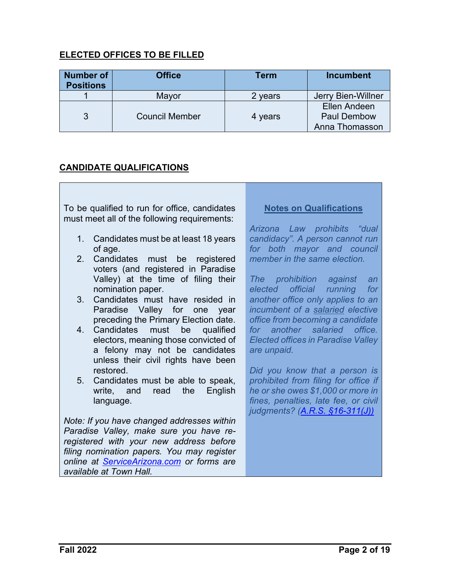#### **ELECTED OFFICES TO BE FILLED**

| <b>Number of</b><br><b>Positions</b> | <b>Office</b>         | Term    | <b>Incumbent</b>                                     |
|--------------------------------------|-----------------------|---------|------------------------------------------------------|
|                                      | Mayor                 | 2 years | Jerry Bien-Willner                                   |
| 3                                    | <b>Council Member</b> | 4 years | Ellen Andeen<br><b>Paul Dembow</b><br>Anna Thomasson |

#### **CANDIDATE QUALIFICATIONS**

To be qualified to run for office, candidates must meet all of the following requirements:

- 1. Candidates must be at least 18 years of age.
- 2. Candidates must be registered voters (and registered in Paradise Valley) at the time of filing their nomination paper.
- 3. Candidates must have resided in Paradise Valley for one year preceding the Primary Election date.
- 4. Candidates must be qualified electors, meaning those convicted of a felony may not be candidates unless their civil rights have been restored.
- 5. Candidates must be able to speak, write, and read the English language.

*Note: If you have changed addresses within Paradise Valley, make sure you have reregistered with your new address before filing nomination papers. You may register online at [ServiceArizona.com](www.servicearizona.com) or forms are available at Town Hall.* 

#### **Notes on Qualifications**

*Arizona Law prohibits "dual candidacy". A person cannot run for both mayor and council member in the same election.* 

*The prohibition against an elected official running for another office only applies to an incumbent of a salaried elective office from becoming a candidate for another salaried office. Elected offices in Paradise Valley are unpaid.* 

*Did you know that a person is prohibited from filing for office if he or she owes \$1,000 or more in fines, penalties, late fee, or civil judgments? ([A.R.S. §16-311\(J\)\)](https://www.azleg.gov/viewdocument/?docName=https://www.azleg.gov/ars/16/00311.htm)*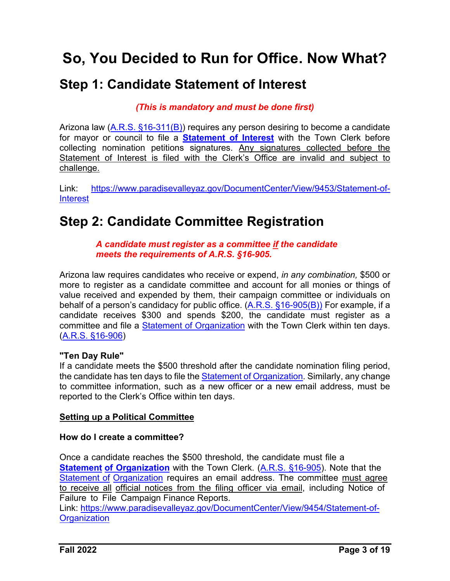# **So, You Decided to Run for Office. Now What?**

# **Step 1: Candidate Statement of Interest**

#### *(This is mandatory and must be done first)*

Arizona law  $(A.R.S. §16-311(B))$  requires any person desiring to become a candidate for mayor or council to file a **[Statement of Interest](https://www.paradisevalleyaz.gov/DocumentCenter/View/9453/Statement-of-Interest)** with the Town Clerk before collecting nomination petitions signatures. Any signatures collected before the Statement of Interest is filed with the Clerk's Office are invalid and subject to challenge.

Link: [https://www.paradisevalleyaz.gov/DocumentCenter/View/9453/Statement-of-](https://www.paradisevalleyaz.gov/DocumentCenter/View/9453/Statement-of-Interest)**Interest** 

# **Step 2: Candidate Committee Registration**

#### *A candidate must register as a committee if the candidate meets the requirements of A.R.S. §16-905.*

Arizona law requires candidates who receive or expend, *in any combination,* \$500 or more to register as a candidate committee and account for all monies or things of value received and expended by them, their campaign committee or individuals on behalf of a person's candidacy for public office. [\(A.R.S. §16-905\(B\)\)](https://www.azleg.gov/viewdocument/?docName=https://www.azleg.gov/ars/16/00905.htm) For example, if a candidate receives \$300 and spends \$200, the candidate must register as a committee and file a [Statement of Organization](https://www.paradisevalleyaz.gov/DocumentCenter/View/9454/Statement-of-Organization) with the Town Clerk within ten days. ([A.R.S. §16-906\)](https://www.azleg.gov/viewdocument/?docName=https://www.azleg.gov/ars/16/00906.htm)

#### **"Ten Day Rule"**

If a candidate meets the \$500 threshold after the candidate nomination filing period, the candidate has ten days to file the [Statement of Organization.](https://www.paradisevalleyaz.gov/DocumentCenter/View/9454/Statement-of-Organization) Similarly, any change to committee information, such as a new officer or a new email address, must be reported to the Clerk's Office within ten days.

#### **Setting up a Political Committee**

#### **How do I create a committee?**

Once a candidate reaches the \$500 threshold, the candidate must file a **[Statement of Organization](https://www.paradisevalleyaz.gov/DocumentCenter/View/9454/Statement-of-Organization)** with the Town Clerk. [\(A.R.S. §16-](https://www.azleg.gov/viewdocument/?docName=https://www.azleg.gov/ars/16/00905.htm)905). Note that the Statement of [Organization](https://www.paradisevalleyaz.gov/DocumentCenter/View/9454/Statement-of-Organization) requires an email address. The committee must agree to receive all official notices from the filing officer via email, including Notice of Failure to File Campaign Finance Reports.

Link: [https://www.paradisevalleyaz.gov/DocumentCenter/View/9454/Statement-of-](https://www.paradisevalleyaz.gov/DocumentCenter/View/9454/Statement-of-Organization)**[Organization](https://www.paradisevalleyaz.gov/DocumentCenter/View/9454/Statement-of-Organization)**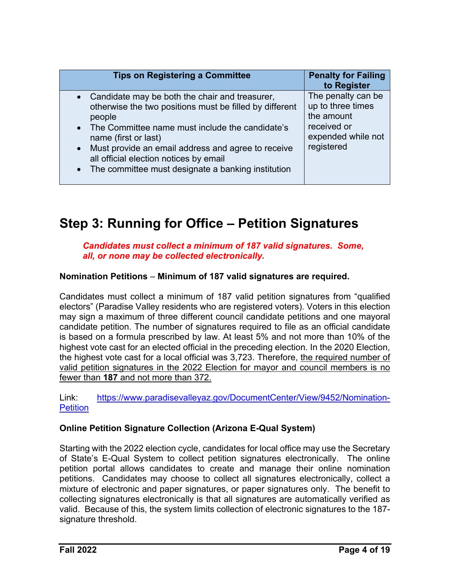| <b>Tips on Registering a Committee</b>                                                                                                                                                                                                                                                                                                                                             | <b>Penalty for Failing</b><br>to Register                                                                |
|------------------------------------------------------------------------------------------------------------------------------------------------------------------------------------------------------------------------------------------------------------------------------------------------------------------------------------------------------------------------------------|----------------------------------------------------------------------------------------------------------|
| Candidate may be both the chair and treasurer,<br>$\bullet$<br>otherwise the two positions must be filled by different<br>people<br>• The Committee name must include the candidate's<br>name (first or last)<br>Must provide an email address and agree to receive<br>$\bullet$<br>all official election notices by email<br>• The committee must designate a banking institution | The penalty can be<br>up to three times<br>the amount<br>received or<br>expended while not<br>registered |

# **Step 3: Running for Office – Petition Signatures**

#### *Candidates must collect a minimum of 187 valid signatures. Some, all, or none may be collected electronically.*

#### **Nomination Petitions** – **Minimum of 187 valid signatures are required.**

Candidates must collect a minimum of 187 valid petition signatures from "qualified electors" (Paradise Valley residents who are registered voters). Voters in this election may sign a maximum of three different council candidate petitions and one mayoral candidate petition. The number of signatures required to file as an official candidate is based on a formula prescribed by law. At least 5% and not more than 10% of the highest vote cast for an elected official in the preceding election. In the 2020 Election, the highest vote cast for a local official was 3,723. Therefore, the required number of valid petition signatures in the 2022 Election for mayor and council members is no fewer than **187** and not more than 372.

Link: [https://www.paradisevalleyaz.gov/DocumentCenter/View/9452/Nomination-](https://www.paradisevalleyaz.gov/DocumentCenter/View/9452/Nomination-Petition)**Petition** 

#### **Online Petition Signature Collection (Arizona E-Qual System)**

Starting with the 2022 election cycle, candidates for local office may use the Secretary of State's E-Qual System to collect petition signatures electronically. The online petition portal allows candidates to create and manage their online nomination petitions. Candidates may choose to collect all signatures electronically, collect a mixture of electronic and paper signatures, or paper signatures only. The benefit to collecting signatures electronically is that all signatures are automatically verified as valid. Because of this, the system limits collection of electronic signatures to the 187 signature threshold.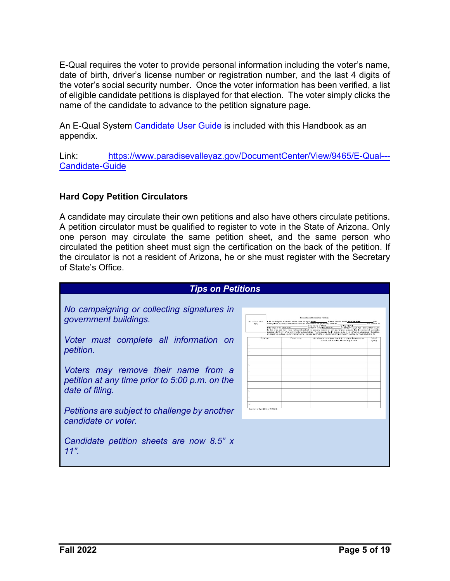E-Qual requires the voter to provide personal information including the voter's name, date of birth, driver's license number or registration number, and the last 4 digits of the voter's social security number. Once the voter information has been verified, a list of eligible candidate petitions is displayed for that election. The voter simply clicks the name of the candidate to advance to the petition signature page.

An E-Qual System [Candidate User Guide](https://www.paradisevalleyaz.gov/DocumentCenter/View/9465/E-Qual---Candidate-Guide) is included with this Handbook as an appendix.

Link: [https://www.paradisevalleyaz.gov/DocumentCenter/View/9465/E-Qual---](https://www.paradisevalleyaz.gov/DocumentCenter/View/9465/E-Qual---Candidate-Guide) [Candidate-Guide](https://www.paradisevalleyaz.gov/DocumentCenter/View/9465/E-Qual---Candidate-Guide) 

#### **Hard Copy Petition Circulators**

A candidate may circulate their own petitions and also have others circulate petitions. A petition circulator must be qualified to register to vote in the State of Arizona. Only one person may circulate the same petition sheet, and the same person who circulated the petition sheet must sign the certification on the back of the petition. If the circulator is not a resident of Arizona, he or she must register with the Secretary of State's Office.

| <b>Tips on Petitions</b>                                             |                                  |                                  |                                                             |                                                                                                                                                                                                                                                                                                                                                             |                        |
|----------------------------------------------------------------------|----------------------------------|----------------------------------|-------------------------------------------------------------|-------------------------------------------------------------------------------------------------------------------------------------------------------------------------------------------------------------------------------------------------------------------------------------------------------------------------------------------------------------|------------------------|
|                                                                      |                                  |                                  |                                                             |                                                                                                                                                                                                                                                                                                                                                             |                        |
| No campaigning or collecting signatures in<br>government buildings.  | Put as for all photo<br>box.     |                                  | the undersigned a cualified elector of the county of Motors | <b>Nonpartisan Nomination Petition</b><br>ataba of Arizonal and of Renell's win this<br>ramo political division or district tram which the nomination is squatri hereby nominate                                                                                                                                                                            | (1203)<br>ma retorn di |
|                                                                      |                                  | to be writed at the Green Decks. |                                                             | for the office of<br>in the paints of service<br>discribed by he head America, and<br>and hardby dactors had I am qualified to ver-<br>for the other and that I have not signed and will not sign any nomination performs for more persons than the number of sandicates                                                                                    |                        |
|                                                                      | Standard                         |                                  | Finned name                                                 | recessary to lifes short or out the read ensuing election. This mere declare that if it process is one is one or too address on this petition<br>my readeres address has not chanced since 1 ast reported it to the county recorder for purposes of updating my voter registration file.<br>Actual residence accides ideasabilion of clace of residence lor | Dott or                |
| Voter must complete all information on<br>petition.                  |                                  |                                  |                                                             | Ar zona cost office box address, oby or town                                                                                                                                                                                                                                                                                                                | scring                 |
|                                                                      |                                  |                                  |                                                             |                                                                                                                                                                                                                                                                                                                                                             |                        |
| Voters may remove their name from a                                  |                                  |                                  |                                                             |                                                                                                                                                                                                                                                                                                                                                             |                        |
|                                                                      |                                  |                                  |                                                             |                                                                                                                                                                                                                                                                                                                                                             |                        |
| petition at any time prior to 5:00 p.m. on the<br>date of filing.    |                                  |                                  |                                                             |                                                                                                                                                                                                                                                                                                                                                             |                        |
|                                                                      |                                  |                                  |                                                             |                                                                                                                                                                                                                                                                                                                                                             |                        |
|                                                                      |                                  |                                  |                                                             |                                                                                                                                                                                                                                                                                                                                                             |                        |
| Petitions are subject to challenge by another<br>candidate or voter. | Secondruct State, Booker17870012 |                                  |                                                             |                                                                                                                                                                                                                                                                                                                                                             |                        |
|                                                                      |                                  |                                  |                                                             |                                                                                                                                                                                                                                                                                                                                                             |                        |
|                                                                      |                                  |                                  |                                                             |                                                                                                                                                                                                                                                                                                                                                             |                        |
| Candidate petition sheets are now 8.5" x<br>11"                      |                                  |                                  |                                                             |                                                                                                                                                                                                                                                                                                                                                             |                        |
|                                                                      |                                  |                                  |                                                             |                                                                                                                                                                                                                                                                                                                                                             |                        |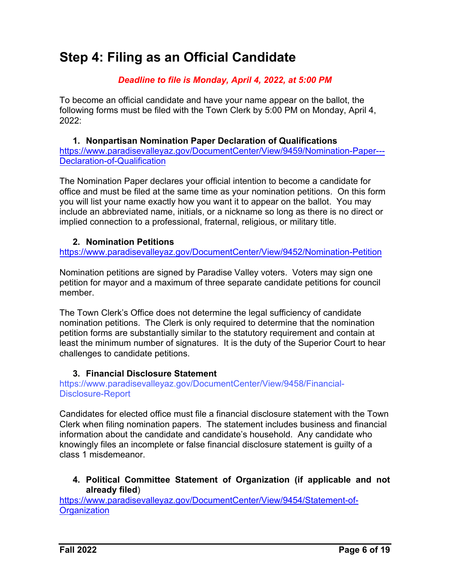# **Step 4: Filing as an Official Candidate**

#### *Deadline to file is Monday, April 4, 2022, at 5:00 PM*

To become an official candidate and have your name appear on the ballot, the following forms must be filed with the Town Clerk by 5:00 PM on Monday, April 4, 2022:

**1. Nonpartisan Nomination Paper Declaration of Qualifications** [https://www.paradisevalleyaz.gov/DocumentCenter/View/9459/Nomination-Paper---](https://www.paradisevalleyaz.gov/DocumentCenter/View/9459/Nomination-Paper---Declaration-of-Qualification) [Declaration-of-Qualification](https://www.paradisevalleyaz.gov/DocumentCenter/View/9459/Nomination-Paper---Declaration-of-Qualification)

The Nomination Paper declares your official intention to become a candidate for office and must be filed at the same time as your nomination petitions. On this form you will list your name exactly how you want it to appear on the ballot. You may include an abbreviated name, initials, or a nickname so long as there is no direct or implied connection to a professional, fraternal, religious, or military title.

#### **2. Nomination Petitions**

<https://www.paradisevalleyaz.gov/DocumentCenter/View/9452/Nomination-Petition>

Nomination petitions are signed by Paradise Valley voters. Voters may sign one petition for mayor and a maximum of three separate candidate petitions for council member.

The Town Clerk's Office does not determine the legal sufficiency of candidate nomination petitions. The Clerk is only required to determine that the nomination petition forms are substantially similar to the statutory requirement and contain at least the minimum number of signatures. It is the duty of the Superior Court to hear challenges to candidate petitions.

#### **3. Financial Disclosure Statement**

[https://www.paradisevalleyaz.gov/DocumentCenter/View/9458/Financial-](https://www.paradisevalleyaz.gov/DocumentCenter/View/9479/05-Financial-Disclosure-Statement-Form-fillable)[Disclosure-Report](https://www.paradisevalleyaz.gov/DocumentCenter/View/9479/05-Financial-Disclosure-Statement-Form-fillable)

Candidates for elected office must file a financial disclosure statement with the Town Clerk when filing nomination papers. The statement includes business and financial information about the candidate and candidate's household. Any candidate who knowingly files an incomplete or false financial disclosure statement is guilty of a class 1 misdemeanor.

**4. Political Committee Statement of Organization (if applicable and not already filed**)

[https://www.paradisevalleyaz.gov/DocumentCenter/View/9454/Statement-of-](https://www.paradisevalleyaz.gov/DocumentCenter/View/9454/Statement-of-Organization)**Organization**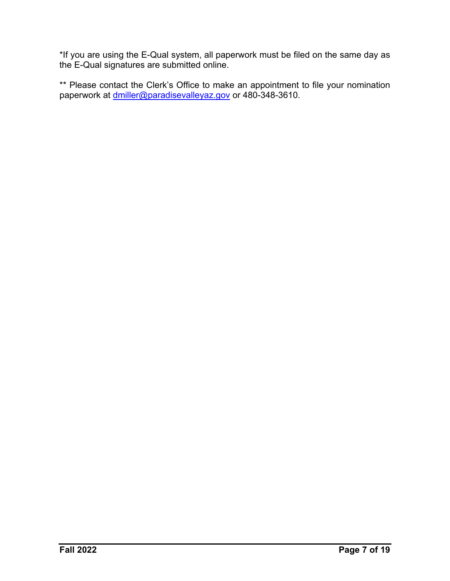\*If you are using the E-Qual system, all paperwork must be filed on the same day as the E-Qual signatures are submitted online.

\*\* Please contact the Clerk's Office to make an appointment to file your nomination paperwork at [dmiller@paradisevalleyaz.gov or](mailto:dmiller@paradisevalleyaz.gov) 480-348-3610.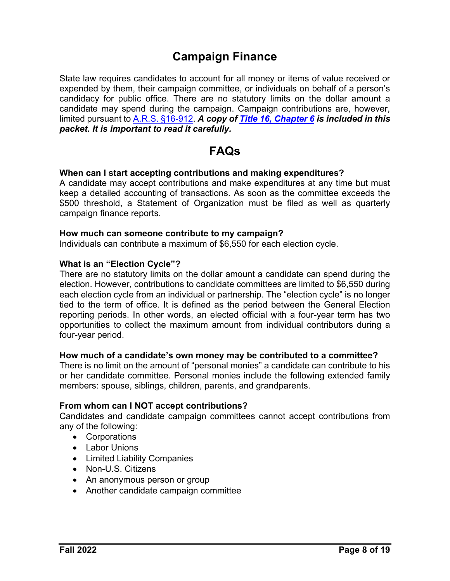## **Campaign Finance**

State law requires candidates to account for all money or items of value received or expended by them, their campaign committee, or individuals on behalf of a person's candidacy for public office. There are no statutory limits on the dollar amount a candidate may spend during the campaign. Campaign contributions are, however, limited pursuant to [A.R.S. §16-912.](https://www.azleg.gov/viewdocument/?docName=https://www.azleg.gov/ars/16/00912.htm) *A copy of [Title 16, Chapter 6 i](https://www.azleg.gov/arsDetail/?title=16)s included in this packet. It is important to read it carefully.* 

# **FAQs**

#### **When can I start accepting contributions and making expenditures?**

A candidate may accept contributions and make expenditures at any time but must keep a detailed accounting of transactions. As soon as the committee exceeds the \$500 threshold, a Statement of Organization must be filed as well as quarterly campaign finance reports.

#### **How much can someone contribute to my campaign?**

Individuals can contribute a maximum of \$6,550 for each election cycle.

#### **What is an "Election Cycle"?**

There are no statutory limits on the dollar amount a candidate can spend during the election. However, contributions to candidate committees are limited to \$6,550 during each election cycle from an individual or partnership. The "election cycle" is no longer tied to the term of office. It is defined as the period between the General Election reporting periods. In other words, an elected official with a four-year term has two opportunities to collect the maximum amount from individual contributors during a four-year period.

#### **How much of a candidate's own money may be contributed to a committee?**

There is no limit on the amount of "personal monies" a candidate can contribute to his or her candidate committee. Personal monies include the following extended family members: spouse, siblings, children, parents, and grandparents.

#### **From whom can I NOT accept contributions?**

Candidates and candidate campaign committees cannot accept contributions from any of the following:

- Corporations
- Labor Unions
- Limited Liability Companies
- Non-U.S. Citizens
- An anonymous person or group
- Another candidate campaign committee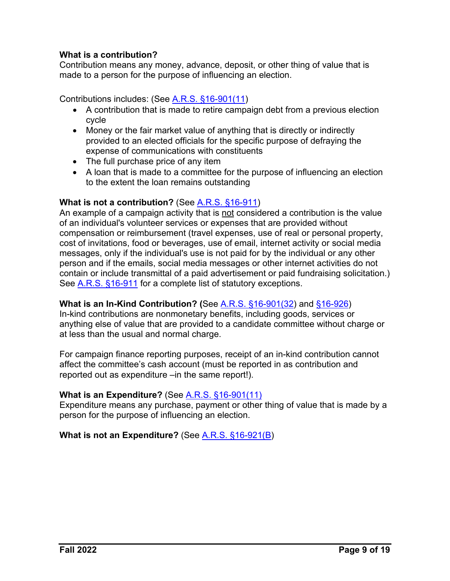#### **What is a contribution?**

Contribution means any money, advance, deposit, or other thing of value that is made to a person for the purpose of influencing an election.

Contributions includes: (See [A.R.S. §16-901\(11\)](https://www.azleg.gov/viewdocument/?docName=https://www.azleg.gov/ars/16/00901.htm) 

- A contribution that is made to retire campaign debt from a previous election cycle
- Money or the fair market value of anything that is directly or indirectly provided to an elected officials for the specific purpose of defraying the expense of communications with constituents
- The full purchase price of any item
- A loan that is made to a committee for the purpose of influencing an election to the extent the loan remains outstanding

#### **What is not a contribution?** (See [A.R.S. §16-911\)](https://www.azleg.gov/viewdocument/?docName=https://www.azleg.gov/ars/16/00911.htm)

An example of a campaign activity that is not considered a contribution is the value of an individual's volunteer services or expenses that are provided without compensation or reimbursement (travel expenses, use of real or personal property, cost of invitations, food or beverages, use of email, internet activity or social media messages, only if the individual's use is not paid for by the individual or any other person and if the emails, social media messages or other internet activities do not contain or include transmittal of a paid advertisement or paid fundraising solicitation.) See [A.R.S. §16-911](https://www.azleg.gov/viewdocument/?docName=https://www.azleg.gov/ars/16/00911.htm) for a complete list of statutory exceptions.

#### **What is an In-Kind Contribution?** (See [A.R.S. §16-901\(32\)](https://www.azleg.gov/viewdocument/?docName=https://www.azleg.gov/ars/16/00901.htm) and [§16-926](https://www.azleg.gov/viewdocument/?docName=https://www.azleg.gov/ars/16/00926.htm))

In-kind contributions are nonmonetary benefits, including goods, services or anything else of value that are provided to a candidate committee without charge or at less than the usual and normal charge.

For campaign finance reporting purposes, receipt of an in-kind contribution cannot affect the committee's cash account (must be reported in as contribution and reported out as expenditure –in the same report!).

#### **What is an Expenditure?** (See [A.R.S. §16-901\(11\)](https://www.azleg.gov/viewdocument/?docName=https://www.azleg.gov/ars/16/00901.htm)

Expenditure means any purchase, payment or other thing of value that is made by a person for the purpose of influencing an election.

**What is not an Expenditure?** (See [A.R.S. §16-921\(B\)](https://www.azleg.gov/viewdocument/?docName=https://www.azleg.gov/ars/16/00921.htm)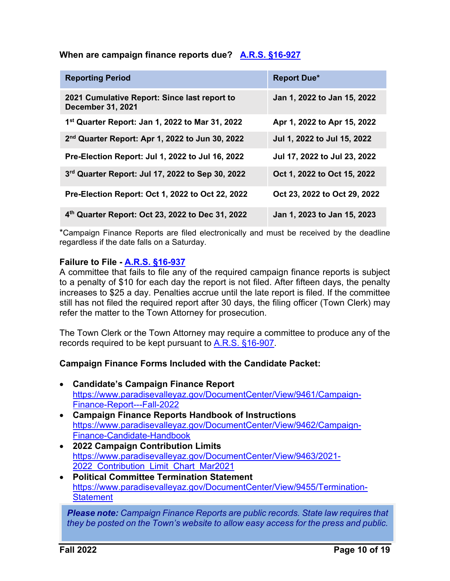#### **When are campaign finance reports due? [A.R.S. §16-927](https://www.azleg.gov/viewdocument/?docName=https://www.azleg.gov/ars/16/00927.htm)**

| <b>Reporting Period</b>                                                  | <b>Report Due*</b>           |
|--------------------------------------------------------------------------|------------------------------|
| 2021 Cumulative Report: Since last report to<br><b>December 31, 2021</b> | Jan 1, 2022 to Jan 15, 2022  |
| 1 <sup>st</sup> Quarter Report: Jan 1, 2022 to Mar 31, 2022              | Apr 1, 2022 to Apr 15, 2022  |
| 2 <sup>nd</sup> Quarter Report: Apr 1, 2022 to Jun 30, 2022              | Jul 1, 2022 to Jul 15, 2022  |
| Pre-Election Report: Jul 1, 2022 to Jul 16, 2022                         | Jul 17, 2022 to Jul 23, 2022 |
| 3rd Quarter Report: Jul 17, 2022 to Sep 30, 2022                         | Oct 1, 2022 to Oct 15, 2022  |
| Pre-Election Report: Oct 1, 2022 to Oct 22, 2022                         | Oct 23, 2022 to Oct 29, 2022 |
| 4th Quarter Report: Oct 23, 2022 to Dec 31, 2022                         | Jan 1, 2023 to Jan 15, 2023  |

\*Campaign Finance Reports are filed electronically and must be received by the deadline regardless if the date falls on a Saturday.

#### **Failure to File - [A.R.S. §16-937](https://www.azleg.gov/viewdocument/?docName=https://www.azleg.gov/ars/16/00937.htm)**

A committee that fails to file any of the required campaign finance reports is subject to a penalty of \$10 for each day the report is not filed. After fifteen days, the penalty increases to \$25 a day. Penalties accrue until the late report is filed. If the committee still has not filed the required report after 30 days, the filing officer (Town Clerk) may refer the matter to the Town Attorney for prosecution.

The Town Clerk or the Town Attorney may require a committee to produce any of the records required to be kept pursuant to [A.R.S. §16-907.](https://www.azleg.gov/viewdocument/?docName=https://www.azleg.gov/ars/16/00907.htm)

#### **Campaign Finance Forms Included with the Candidate Packet:**

- **Candidate's Campaign Finance Report**  [https://www.paradisevalleyaz.gov/DocumentCenter/View/9461/Campaign-](https://www.paradisevalleyaz.gov/DocumentCenter/View/9461/Campaign-Finance-Report---Fall-2022)[Finance-Report---Fall-2022](https://www.paradisevalleyaz.gov/DocumentCenter/View/9461/Campaign-Finance-Report---Fall-2022)
- **Campaign Finance Reports Handbook of Instructions** [https://www.paradisevalleyaz.gov/DocumentCenter/View/9462/Campaign-](https://www.paradisevalleyaz.gov/DocumentCenter/View/9462/Campaign-Finance-Candidate-Handbook)[Finance-Candidate-Handbook](https://www.paradisevalleyaz.gov/DocumentCenter/View/9462/Campaign-Finance-Candidate-Handbook)
- **2022 Campaign Contribution Limits**  [https://www.paradisevalleyaz.gov/DocumentCenter/View/9463/2021-](https://www.paradisevalleyaz.gov/DocumentCenter/View/9463/2021-2022_Contribution_Limit_Chart_Mar2021) [2022\\_Contribution\\_Limit\\_Chart\\_Mar2021](https://www.paradisevalleyaz.gov/DocumentCenter/View/9463/2021-2022_Contribution_Limit_Chart_Mar2021)
- **Political Committee Termination Statement**  [https://www.paradisevalleyaz.gov/DocumentCenter/View/9455/Termination-](https://www.paradisevalleyaz.gov/DocumentCenter/View/9455/Termination-Statement)**Statement**

*Please note: Campaign Finance Reports are public records. State law requires that they be posted on the Town's website to allow easy access for the press and public.*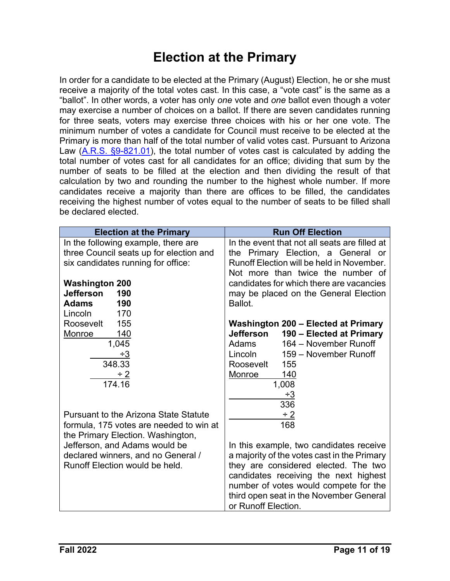# **Election at the Primary**

In order for a candidate to be elected at the Primary (August) Election, he or she must receive a majority of the total votes cast. In this case, a "vote cast" is the same as a "ballot". In other words, a voter has only *one* vote and *one* ballot even though a voter may exercise a number of choices on a ballot. If there are seven candidates running for three seats, voters may exercise three choices with his or her one vote. The minimum number of votes a candidate for Council must receive to be elected at the Primary is more than half of the total number of valid votes cast. Pursuant to Arizona Law ([A.R.S. §9-821.01\),](https://www.azleg.gov/viewdocument/?docName=https://www.azleg.gov/ars/9/00821-01.htm) the total number of votes cast is calculated by adding the total number of votes cast for all candidates for an office; dividing that sum by the number of seats to be filled at the election and then dividing the result of that calculation by two and rounding the number to the highest whole number. If more candidates receive a majority than there are offices to be filled, the candidates receiving the highest number of votes equal to the number of seats to be filled shall be declared elected.

| <b>Election at the Primary</b>               | <b>Run Off Election</b>                       |
|----------------------------------------------|-----------------------------------------------|
| In the following example, there are          | In the event that not all seats are filled at |
| three Council seats up for election and      | the Primary Election, a General or            |
| six candidates running for office:           | Runoff Election will be held in November.     |
|                                              | Not more than twice the number of             |
| <b>Washington 200</b>                        | candidates for which there are vacancies      |
| <b>Jefferson</b><br>190                      | may be placed on the General Election         |
| 190<br><b>Adams</b>                          | Ballot.                                       |
| Lincoln<br>170                               |                                               |
| Roosevelt<br>155                             | Washington 200 - Elected at Primary           |
| 140<br>Monroe                                | Jefferson<br>190 - Elected at Primary         |
| 1,045                                        | Adams<br>164 - November Runoff                |
| $\div 3$                                     | Lincoln<br>159 - November Runoff              |
| 348.33                                       | Roosevelt<br>155                              |
| $\div$ 2                                     | 140<br>Monroe                                 |
| 174.16                                       | 1,008                                         |
|                                              | $\div 3$                                      |
|                                              | 336                                           |
| <b>Pursuant to the Arizona State Statute</b> | $\div 2$                                      |
| formula, 175 votes are needed to win at      | 168                                           |
| the Primary Election. Washington,            |                                               |
| Jefferson, and Adams would be                | In this example, two candidates receive       |
| declared winners, and no General /           | a majority of the votes cast in the Primary   |
| Runoff Election would be held.               | they are considered elected. The two          |
|                                              | candidates receiving the next highest         |
|                                              | number of votes would compete for the         |
|                                              | third open seat in the November General       |
|                                              | or Runoff Election.                           |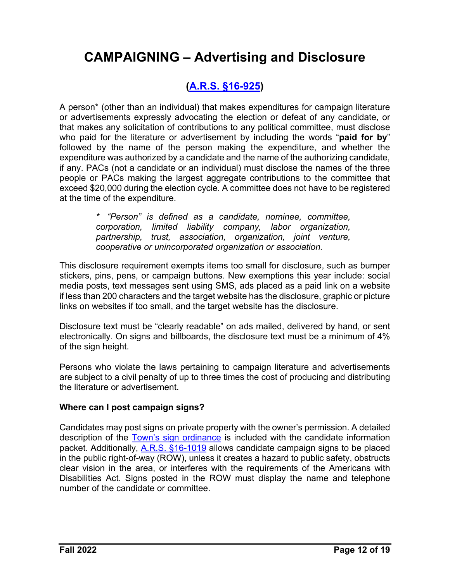# **CAMPAIGNING – Advertising and Disclosure**

## **([A.R.S. §16-925\)](https://www.azleg.gov/viewdocument/?docName=https://www.azleg.gov/ars/16/00925.htm)**

A person\* (other than an individual) that makes expenditures for campaign literature or advertisements expressly advocating the election or defeat of any candidate, or that makes any solicitation of contributions to any political committee, must disclose who paid for the literature or advertisement by including the words "**paid for by**" followed by the name of the person making the expenditure, and whether the expenditure was authorized by a candidate and the name of the authorizing candidate, if any. PACs (not a candidate or an individual) must disclose the names of the three people or PACs making the largest aggregate contributions to the committee that exceed \$20,000 during the election cycle. A committee does not have to be registered at the time of the expenditure.

> *\* "Person" is defined as a candidate, nominee, committee, corporation, limited liability company, labor organization, partnership, trust, association, organization, joint venture, cooperative or unincorporated organization or association.*

This disclosure requirement exempts items too small for disclosure, such as bumper stickers, pins, pens, or campaign buttons. New exemptions this year include: social media posts, text messages sent using SMS, ads placed as a paid link on a website if less than 200 characters and the target website has the disclosure, graphic or picture links on websites if too small, and the target website has the disclosure.

Disclosure text must be "clearly readable" on ads mailed, delivered by hand, or sent electronically. On signs and billboards, the disclosure text must be a minimum of 4% of the sign height.

Persons who violate the laws pertaining to campaign literature and advertisements are subject to a civil penalty of up to three times the cost of producing and distributing the literature or advertisement.

#### **Where can I post campaign signs?**

Candidates may post signs on private property with the owner's permission. A detailed description of the **Town's sign ordinance** is included with the candidate information packet. Additionally, [A.R.S. §16-1019 a](https://www.azleg.gov/viewdocument/?docName=https://www.azleg.gov/ars/16/01019.htm)llows candidate campaign signs to be placed in the public right-of-way (ROW), unless it creates a hazard to public safety, obstructs clear vision in the area, or interferes with the requirements of the Americans with Disabilities Act. Signs posted in the ROW must display the name and telephone number of the candidate or committee.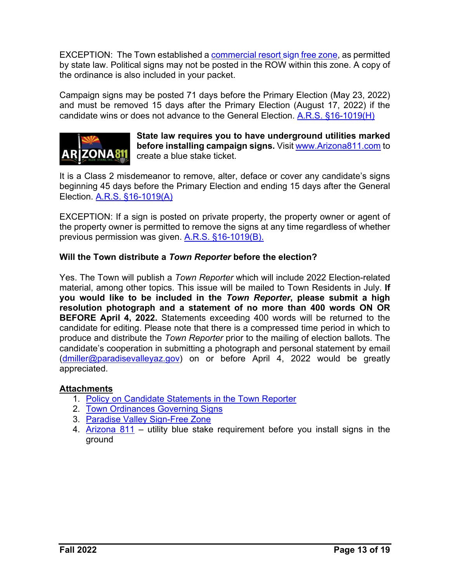EXCEPTION: The Town established a [commercial resort sign free zone,](https://www.paradisevalleyaz.gov/DocumentCenter/View/8404/Paradise-Valley-Sign-Free-Zones---Resolution-Number-1241) as permitted by state law. Political signs may not be posted in the ROW within this zone. A copy of the ordinance is also included in your packet.

Campaign signs may be posted 71 days before the Primary Election (May 23, 2022) and must be removed 15 days after the Primary Election (August 17, 2022) if the candidate wins or does not advance to the General Election. [A.R.S. §16-1019\(H\)](https://www.azleg.gov/viewdocument/?docName=https://www.azleg.gov/ars/16/01019.htm)



**State law requires you to have underground utilities marked before installing campaign signs.** Visit [www.Arizona811.com to](http://www.Arizona811.com) create a blue stake ticket.

It is a Class 2 misdemeanor to remove, alter, deface or cover any candidate's signs beginning 45 days before the Primary Election and ending 15 days after the General Election. [A.R.S. §16-1019\(A\)](https://www.azleg.gov/viewdocument/?docName=https://www.azleg.gov/ars/16/01019.htm)

EXCEPTION: If a sign is posted on private property, the property owner or agent of the property owner is permitted to remove the signs at any time regardless of whether previous permission was given. [A.R.S. §16-1019\(B\).](https://www.azleg.gov/viewdocument/?docName=https://www.azleg.gov/ars/16/01019.htm)

#### **Will the Town distribute a** *Town Reporter* **before the election?**

Yes. The Town will publish a *Town Reporter* which will include 2022 Election-related material, among other topics. This issue will be mailed to Town Residents in July. **If you would like to be included in the** *Town Reporter***, please submit a high resolution photograph and a statement of no more than 400 words ON OR BEFORE April 4, 2022.** Statements exceeding 400 words will be returned to the candidate for editing. Please note that there is a compressed time period in which to produce and distribute the *Town Reporter* prior to the mailing of election ballots. The candidate's cooperation in submitting a photograph and personal statement by email ([dmiller@paradisevalleyaz.gov\) o](mailto:dmiller@paradisevalleyaz.gov)n or before April 4, 2022 would be greatly appreciated.

#### **Attachments**

- 1. [Policy on Candidate Statements in the Town Reporter](https://www.paradisevalleyaz.gov/DocumentCenter/View/8408/Policy---Candidate-Statements-in-Town-Reporter)
- 2. [Town Ordinances Governing Signs](https://www.paradisevalleyaz.gov/DocumentCenter/View/5269/Paradise-Valley-Sign-Laws)
- 3. [Paradise Valley Sign-Free Zone](https://www.paradisevalleyaz.gov/DocumentCenter/View/5269/Paradise-Valley-Sign-Laws)
- 4. [Arizona 811 –](http://www.arizona811.com/) utility blue stake requirement before you install signs in the ground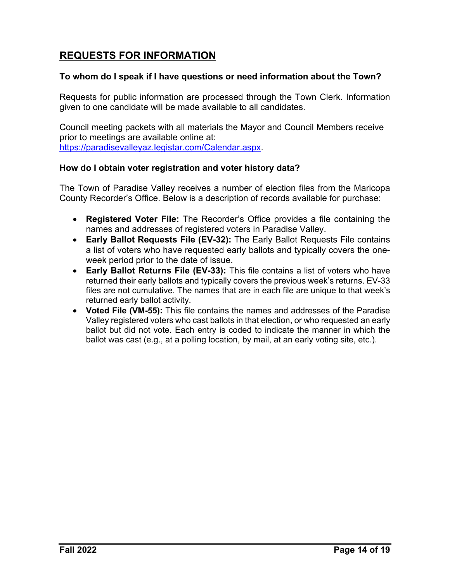## **REQUESTS FOR INFORMATION**

#### **To whom do I speak if I have questions or need information about the Town?**

Requests for public information are processed through the Town Clerk. Information given to one candidate will be made available to all candidates.

Council meeting packets with all materials the Mayor and Council Members receive prior to meetings are available online at: [https://paradisevalleyaz.legistar.com/Calendar.aspx.](https://paradisevalleyaz.legistar.com/Calendar.aspx) 

#### **How do I obtain voter registration and voter history data?**

The Town of Paradise Valley receives a number of election files from the Maricopa County Recorder's Office. Below is a description of records available for purchase:

- **Registered Voter File:** The Recorder's Office provides a file containing the names and addresses of registered voters in Paradise Valley.
- **Early Ballot Requests File (EV-32):** The Early Ballot Requests File contains a list of voters who have requested early ballots and typically covers the oneweek period prior to the date of issue.
- **Early Ballot Returns File (EV-33):** This file contains a list of voters who have returned their early ballots and typically covers the previous week's returns. EV-33 files are not cumulative. The names that are in each file are unique to that week's returned early ballot activity.
- **Voted File (VM-55):** This file contains the names and addresses of the Paradise Valley registered voters who cast ballots in that election, or who requested an early ballot but did not vote. Each entry is coded to indicate the manner in which the ballot was cast (e.g., at a polling location, by mail, at an early voting site, etc.).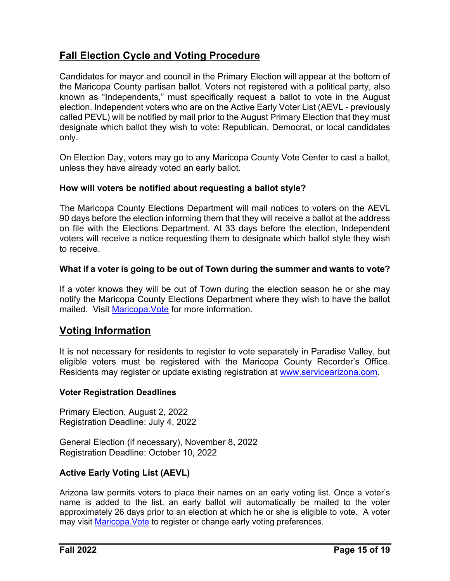## **Fall Election Cycle and Voting Procedure**

Candidates for mayor and council in the Primary Election will appear at the bottom of the Maricopa County partisan ballot. Voters not registered with a political party, also known as "Independents," must specifically request a ballot to vote in the August election. Independent voters who are on the Active Early Voter List (AEVL - previously called PEVL) will be notified by mail prior to the August Primary Election that they must designate which ballot they wish to vote: Republican, Democrat, or local candidates only.

On Election Day, voters may go to any Maricopa County Vote Center to cast a ballot, unless they have already voted an early ballot.

#### **How will voters be notified about requesting a ballot style?**

The Maricopa County Elections Department will mail notices to voters on the AEVL 90 days before the election informing them that they will receive a ballot at the address on file with the Elections Department. At 33 days before the election, Independent voters will receive a notice requesting them to designate which ballot style they wish to receive.

#### **What if a voter is going to be out of Town during the summer and wants to vote?**

If a voter knows they will be out of Town during the election season he or she may notify the Maricopa County Elections Department where they wish to have the ballot mailed. Visit Maricopa. Vote for more information.

#### **Voting Information**

It is not necessary for residents to register to vote separately in Paradise Valley, but eligible voters must be registered with the Maricopa County Recorder's Office. Residents may register or update existing registration at [www.servicearizona.com.](http://www.servicearizona.com) 

#### **Voter Registration Deadlines**

Primary Election, August 2, 2022 Registration Deadline: July 4, 2022

General Election (if necessary), November 8, 2022 Registration Deadline: October 10, 2022

#### **Active Early Voting List (AEVL)**

Arizona law permits voters to place their names on an early voting list. Once a voter's name is added to the list, an early ballot will automatically be mailed to the voter approximately 26 days prior to an election at which he or she is eligible to vote. A voter may visit Maricopa. Vote to register or change early voting preferences.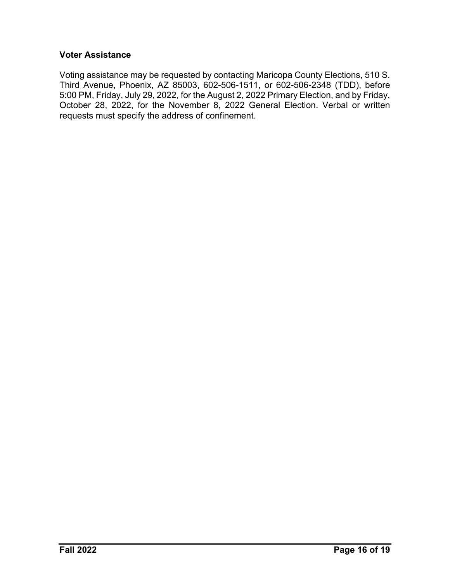#### **Voter Assistance**

Voting assistance may be requested by contacting Maricopa County Elections, 510 S. Third Avenue, Phoenix, AZ 85003, 602-506-1511, or 602-506-2348 (TDD), before 5:00 PM, Friday, July 29, 2022, for the August 2, 2022 Primary Election, and by Friday, October 28, 2022, for the November 8, 2022 General Election. Verbal or written requests must specify the address of confinement.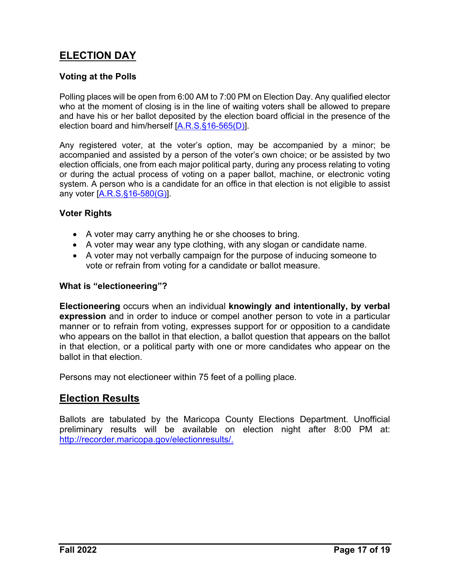## **ELECTION DAY**

#### **Voting at the Polls**

Polling places will be open from 6:00 AM to 7:00 PM on Election Day. Any qualified elector who at the moment of closing is in the line of waiting voters shall be allowed to prepare and have his or her ballot deposited by the election board official in the presence of the election board and him/herself [\[A.R.S.§16-565\(D\)\]](https://www.azleg.gov/viewdocument/?docName=https://www.azleg.gov/ars/16/00565.htm).

Any registered voter, at the voter's option, may be accompanied by a minor; be accompanied and assisted by a person of the voter's own choice; or be assisted by two election officials, one from each major political party, during any process relating to voting or during the actual process of voting on a paper ballot, machine, or electronic voting system. A person who is a candidate for an office in that election is not eligible to assist any voter [[A.R.S.§16-580\(G\)\]](https://www.azleg.gov/viewdocument/?docName=https://www.azleg.gov/ars/16/00580.htm).

#### **Voter Rights**

- A voter may carry anything he or she chooses to bring.
- A voter may wear any type clothing, with any slogan or candidate name.
- A voter may not verbally campaign for the purpose of inducing someone to vote or refrain from voting for a candidate or ballot measure.

#### **What is "electioneering"?**

**Electioneering** occurs when an individual **knowingly and intentionally, by verbal expression** and in order to induce or compel another person to vote in a particular manner or to refrain from voting, expresses support for or opposition to a candidate who appears on the ballot in that election, a ballot question that appears on the ballot in that election, or a political party with one or more candidates who appear on the ballot in that election.

Persons may not electioneer within 75 feet of a polling place.

#### **Election Results**

Ballots are tabulated by the Maricopa County Elections Department. Unofficial preliminary results will be available on election night after 8:00 PM at: [http://recorder.maricopa.gov/electionresults/.](http://recorder.maricopa.gov/electionresults/)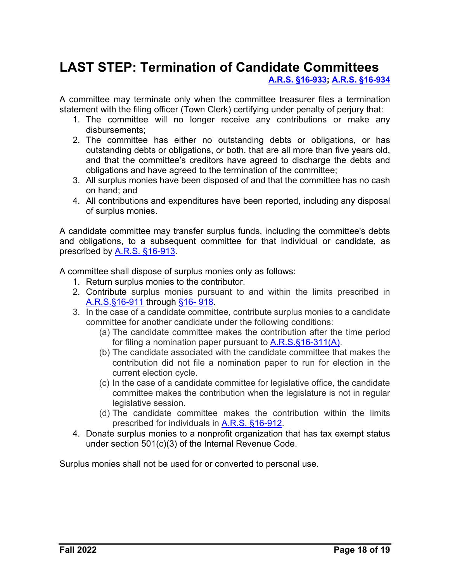## **LAST STEP: Termination of Candidate Committees [A.R.S. §16-933;](https://www.azleg.gov/viewdocument/?docName=https://www.azleg.gov/ars/16/00933.htm) [A.R.S. §16-934](https://www.azleg.gov/viewdocument/?docName=https://www.azleg.gov/ars/16/00934.htm)**

A committee may terminate only when the committee treasurer files a termination statement with the filing officer (Town Clerk) certifying under penalty of perjury that:

- 1. The committee will no longer receive any contributions or make any disbursements;
- 2. The committee has either no outstanding debts or obligations, or has outstanding debts or obligations, or both, that are all more than five years old, and that the committee's creditors have agreed to discharge the debts and obligations and have agreed to the termination of the committee;
- 3. All surplus monies have been disposed of and that the committee has no cash on hand; and
- 4. All contributions and expenditures have been reported, including any disposal of surplus monies.

A candidate committee may transfer surplus funds, including the committee's debts and obligations, to a subsequent committee for that individual or candidate, as prescribed by [A.R.S. §16-913.](https://www.azleg.gov/viewdocument/?docName=https://www.azleg.gov/ars/16/00913.htm) 

A committee shall dispose of surplus monies only as follows:

- 1. Return surplus monies to the contributor.
- 2. Contribute surplus monies pursuant to and within the limits prescribed in [A.R.S.§16-911](https://www.azleg.gov/viewdocument/?docName=https://www.azleg.gov/ars/16/00911.htm) through [§16- 918](https://www.azleg.gov/viewdocument/?docName=https://www.azleg.gov/ars/16/00918.htm).
- 3. In the case of a candidate committee, contribute surplus monies to a candidate committee for another candidate under the following conditions:
	- (a) The candidate committee makes the contribution after the time period for filing a nomination paper pursuant to [A.R.S.§16-311\(A\)](https://www.azleg.gov/viewdocument/?docName=https://www.azleg.gov/ars/16/00311.htm).
	- (b) The candidate associated with the candidate committee that makes the contribution did not file a nomination paper to run for election in the current election cycle.
	- (c) In the case of a candidate committee for legislative office, the candidate committee makes the contribution when the legislature is not in regular legislative session.
	- (d) The candidate committee makes the contribution within the limits prescribed for individuals in [A.R.S. §16-912.](https://www.azleg.gov/viewdocument/?docName=https://www.azleg.gov/ars/16/00912.htm)
- 4. Donate surplus monies to a nonprofit organization that has tax exempt status under section 501(c)(3) of the Internal Revenue Code.

Surplus monies shall not be used for or converted to personal use.